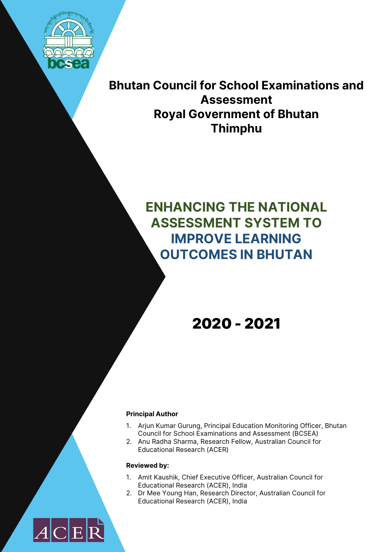

**Bhutan Council for School Examinations and Assessment Royal Government of Bhutan Thimphu**

# **ENHANCING THE NATIONAL ASSESSMENT SYSTEM TO IMPROVE LEARNING OUTCOMES IN BHUTAN**

2020 - 2021

#### **Principal Author**

- 1. Arjun Kumar Gurung, Principal Education Monitoring Officer, Bhutan Council for School Examinations and Assessment (BCSEA)
- 2. Anu Radha Sharma, Research Fellow, Australian Council for Educational Research (ACER)

#### **Reviewed by:**

- 1. Amit Kaushik, Chief Executive Officer, Australian Council for Educational Research (ACER), India
- 2. Dr Mee Young Han, Research Director, Australian Council for Educational Research (ACER), India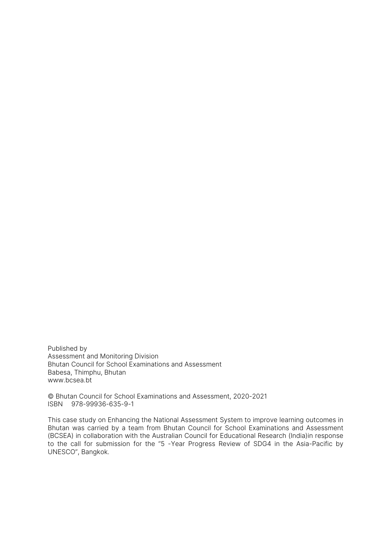Published by Assessment and Monitoring Division Bhutan Council for School Examinations and Assessment Babesa, Thimphu, Bhutan www.bcsea.bt

© Bhutan Council for School Examinations and Assessment, 2020-2021 ISBN 978-99936-635-9-1

This case study on Enhancing the National Assessment System to improve learning outcomes in Bhutan was carried by a team from Bhutan Council for School Examinations and Assessment (BCSEA) in collaboration with the Australian Council for Educational Research (India)in response to the call for submission for the ''5 -Year Progress Review of SDG4 in the Asia-Pacific by UNESCO", Bangkok.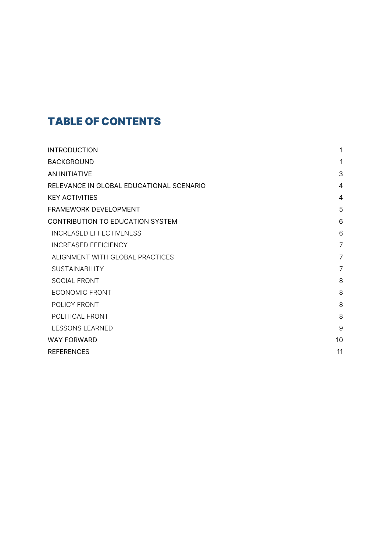## TABLE OF CONTENTS

| <b>INTRODUCTION</b>                      | 1              |
|------------------------------------------|----------------|
| <b>BACKGROUND</b>                        | 1              |
| AN INITIATIVE                            | 3              |
| RELEVANCE IN GLOBAL EDUCATIONAL SCENARIO | 4              |
| <b>KEY ACTIVITIES</b>                    | 4              |
| FRAMEWORK DEVELOPMENT                    | 5              |
| CONTRIBUTION TO EDUCATION SYSTEM         | 6              |
| <b>INCREASED EFFECTIVENESS</b>           | 6              |
| <b>INCREASED EFFICIENCY</b>              | $\overline{7}$ |
| ALIGNMENT WITH GLOBAL PRACTICES          | $\overline{7}$ |
| <b>SUSTAINABILITY</b>                    | 7              |
| SOCIAL FRONT                             | 8              |
| <b>ECONOMIC FRONT</b>                    | 8              |
| POLICY FRONT                             | 8              |
| POLITICAL FRONT                          | 8              |
| LESSONS LEARNED                          | 9              |
| <b>WAY FORWARD</b>                       | 10             |
| <b>REFERENCES</b>                        | 11             |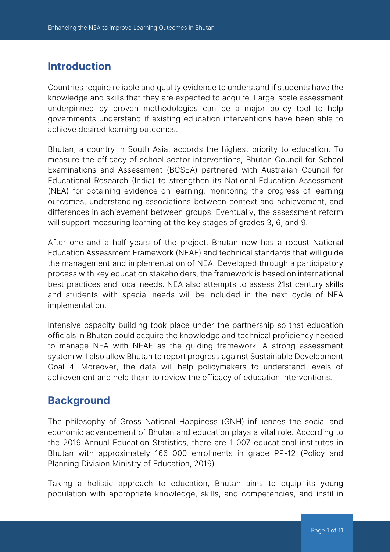## **Introduction**

Countries require reliable and quality evidence to understand if students have the knowledge and skills that they are expected to acquire. Large-scale assessment underpinned by proven methodologies can be a major policy tool to help governments understand if existing education interventions have been able to achieve desired learning outcomes.

Bhutan, a country in South Asia, accords the highest priority to education. To measure the efficacy of school sector interventions, Bhutan Council for School Examinations and Assessment (BCSEA) partnered with Australian Council for Educational Research (India) to strengthen its National Education Assessment (NEA) for obtaining evidence on learning, monitoring the progress of learning outcomes, understanding associations between context and achievement, and differences in achievement between groups. Eventually, the assessment reform will support measuring learning at the key stages of grades 3, 6, and 9.

After one and a half years of the project, Bhutan now has a robust National Education Assessment Framework (NEAF) and technical standards that will guide the management and implementation of NEA. Developed through a participatory process with key education stakeholders, the framework is based on international best practices and local needs. NEA also attempts to assess 21st century skills and students with special needs will be included in the next cycle of NEA implementation.

Intensive capacity building took place under the partnership so that education officials in Bhutan could acquire the knowledge and technical proficiency needed to manage NEA with NEAF as the guiding framework. A strong assessment system will also allow Bhutan to report progress against Sustainable Development Goal 4. Moreover, the data will help policymakers to understand levels of achievement and help them to review the efficacy of education interventions.

## **Background**

The philosophy of Gross National Happiness (GNH) influences the social and economic advancement of Bhutan and education plays a vital role. According to the 2019 Annual Education Statistics, there are 1 007 educational institutes in Bhutan with approximately 166 000 enrolments in grade PP-12 (Policy and Planning Division Ministry of Education, 2019).

Taking a holistic approach to education, Bhutan aims to equip its young population with appropriate knowledge, skills, and competencies, and instil in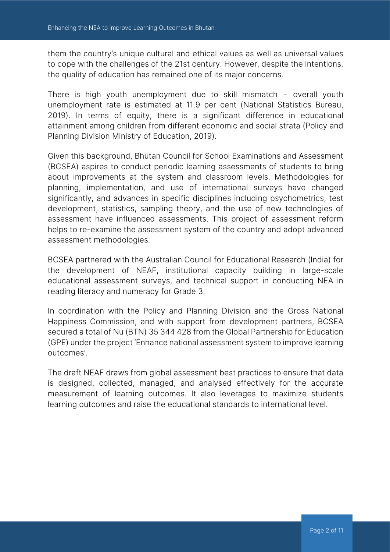them the country's unique cultural and ethical values as well as universal values to cope with the challenges of the 21st century. However, despite the intentions, the quality of education has remained one of its major concerns.

There is high youth unemployment due to skill mismatch − overall youth unemployment rate is estimated at 11.9 per cent (National Statistics Bureau, 2019). In terms of equity, there is a significant difference in educational attainment among children from different economic and social strata (Policy and Planning Division Ministry of Education, 2019).

Given this background, Bhutan Council for School Examinations and Assessment (BCSEA) aspires to conduct periodic learning assessments of students to bring about improvements at the system and classroom levels. Methodologies for planning, implementation, and use of international surveys have changed significantly, and advances in specific disciplines including psychometrics, test development, statistics, sampling theory, and the use of new technologies of assessment have influenced assessments. This project of assessment reform helps to re-examine the assessment system of the country and adopt advanced assessment methodologies.

BCSEA partnered with the Australian Council for Educational Research (India) for the development of NEAF, institutional capacity building in large-scale educational assessment surveys, and technical support in conducting NEA in reading literacy and numeracy for Grade 3.

In coordination with the Policy and Planning Division and the Gross National Happiness Commission, and with support from development partners, BCSEA secured a total of Nu (BTN) 35 344 428 from the Global Partnership for Education (GPE) under the project 'Enhance national assessment system to improve learning outcomes'.

The draft NEAF draws from global assessment best practices to ensure that data is designed, collected, managed, and analysed effectively for the accurate measurement of learning outcomes. It also leverages to maximize students learning outcomes and raise the educational standards to international level.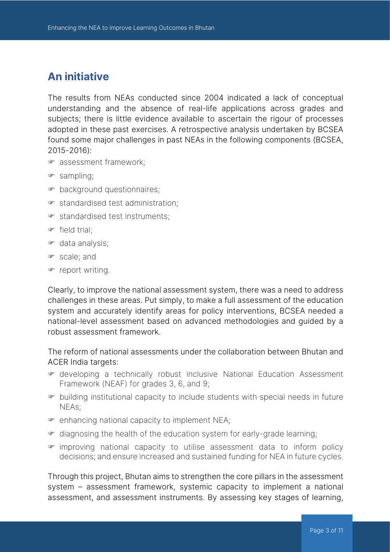## **An initiative**

The results from NEAs conducted since 2004 indicated a lack of conceptual understanding and the absence of real-life applications across grades and subjects; there is little evidence available to ascertain the rigour of processes adopted in these past exercises. A retrospective analysis undertaken by BCSEA found some major challenges in past NEAs in the following components (BCSEA, 2015-2016):

- F assessment framework;
- $\bullet$  sampling;
- F background questionnaires;
- $\bullet$  standardised test administration;
- $\bullet$  standardised test instruments;
- $\bullet$  field trial:
- $\bullet$  data analysis;
- F scale; and
- report writing.

Clearly, to improve the national assessment system, there was a need to address challenges in these areas. Put simply, to make a full assessment of the education system and accurately identify areas for policy interventions, BCSEA needed a national-level assessment based on advanced methodologies and guided by a robust assessment framework.

The reform of national assessments under the collaboration between Bhutan and ACER India targets:

- F developing a technically robust inclusive National Education Assessment Framework (NEAF) for grades 3, 6, and 9;
- F building institutional capacity to include students with special needs in future NEAs;
- $\bullet$  enhancing national capacity to implement NEA;
- $\bullet$  diagnosing the health of the education system for early-grade learning;
- $\epsilon$  improving national capacity to utilise assessment data to inform policy decisions; and ensure increased and sustained funding for NEA in future cycles.

Through this project, Bhutan aims to strengthen the core pillars in the assessment system – assessment framework, systemic capacity to implement a national assessment, and assessment instruments. By assessing key stages of learning,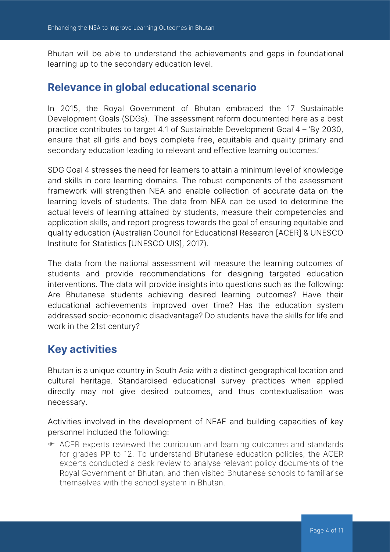Bhutan will be able to understand the achievements and gaps in foundational learning up to the secondary education level.

## **Relevance in global educational scenario**

In 2015, the Royal Government of Bhutan embraced the 17 Sustainable Development Goals (SDGs). The assessment reform documented here as a best practice contributes to target 4.1 of Sustainable Development Goal 4 – 'By 2030, ensure that all girls and boys complete free, equitable and quality primary and secondary education leading to relevant and effective learning outcomes.'

SDG Goal 4 stresses the need for learners to attain a minimum level of knowledge and skills in core learning domains. The robust components of the assessment framework will strengthen NEA and enable collection of accurate data on the learning levels of students. The data from NEA can be used to determine the actual levels of learning attained by students, measure their competencies and application skills, and report progress towards the goal of ensuring equitable and quality education (Australian Council for Educational Research [ACER] & UNESCO Institute for Statistics [UNESCO UIS], 2017).

The data from the national assessment will measure the learning outcomes of students and provide recommendations for designing targeted education interventions. The data will provide insights into questions such as the following: Are Bhutanese students achieving desired learning outcomes? Have their educational achievements improved over time? Has the education system addressed socio-economic disadvantage? Do students have the skills for life and work in the 21st century?

## **Key activities**

Bhutan is a unique country in South Asia with a distinct geographical location and cultural heritage. Standardised educational survey practices when applied directly may not give desired outcomes, and thus contextualisation was necessary.

Activities involved in the development of NEAF and building capacities of key personnel included the following:

F ACER experts reviewed the curriculum and learning outcomes and standards for grades PP to 12. To understand Bhutanese education policies, the ACER experts conducted a desk review to analyse relevant policy documents of the Royal Government of Bhutan, and then visited Bhutanese schools to familiarise themselves with the school system in Bhutan.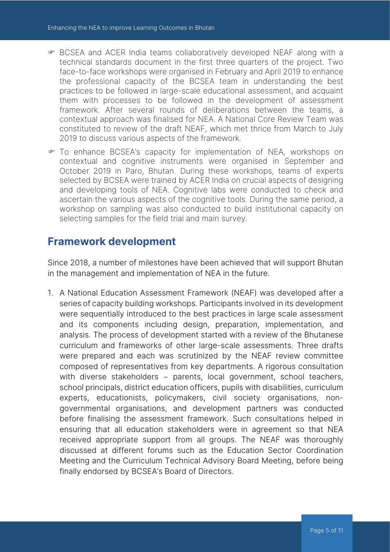- F BCSEA and ACER India teams collaboratively developed NEAF along with a technical standards document in the first three quarters of the project. Two face-to-face workshops were organised in February and April 2019 to enhance the professional capacity of the BCSEA team in understanding the best practices to be followed in large-scale educational assessment, and acquaint them with processes to be followed in the development of assessment framework. After several rounds of deliberations between the teams, a contextual approach was finalised for NEA. A National Core Review Team was constituted to review of the draft NEAF, which met thrice from March to July 2019 to discuss various aspects of the framework.
- To enhance BCSEA's capacity for implementation of NEA, workshops on contextual and cognitive instruments were organised in September and October 2019 in Paro, Bhutan. During these workshops, teams of experts selected by BCSEA were trained by ACER India on crucial aspects of designing and developing tools of NEA. Cognitive labs were conducted to check and ascertain the various aspects of the cognitive tools. During the same period, a workshop on sampling was also conducted to build institutional capacity on selecting samples for the field trial and main survey.

## **Framework development**

Since 2018, a number of milestones have been achieved that will support Bhutan in the management and implementation of NEA in the future.

1. A National Education Assessment Framework (NEAF) was developed after a series of capacity building workshops. Participants involved in its development were sequentially introduced to the best practices in large scale assessment and its components including design, preparation, implementation, and analysis. The process of development started with a review of the Bhutanese curriculum and frameworks of other large-scale assessments. Three drafts were prepared and each was scrutinized by the NEAF review committee composed of representatives from key departments. A rigorous consultation with diverse stakeholders − parents, local government, school teachers, school principals, district education officers, pupils with disabilities, curriculum experts, educationists, policymakers, civil society organisations, nongovernmental organisations, and development partners was conducted before finalising the assessment framework. Such consultations helped in ensuring that all education stakeholders were in agreement so that NEA received appropriate support from all groups. The NEAF was thoroughly discussed at different forums such as the Education Sector Coordination Meeting and the Curriculum Technical Advisory Board Meeting, before being finally endorsed by BCSEA's Board of Directors.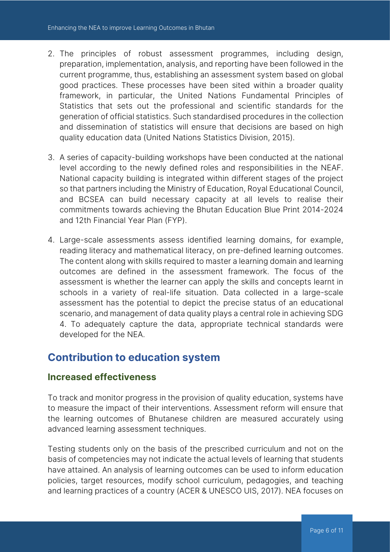- 2. The principles of robust assessment programmes, including design, preparation, implementation, analysis, and reporting have been followed in the current programme, thus, establishing an assessment system based on global good practices. These processes have been sited within a broader quality framework, in particular, the United Nations Fundamental Principles of Statistics that sets out the professional and scientific standards for the generation of official statistics. Such standardised procedures in the collection and dissemination of statistics will ensure that decisions are based on high quality education data (United Nations Statistics Division, 2015).
- 3. A series of capacity-building workshops have been conducted at the national level according to the newly defined roles and responsibilities in the NEAF. National capacity building is integrated within different stages of the project so that partners including the Ministry of Education, Royal Educational Council, and BCSEA can build necessary capacity at all levels to realise their commitments towards achieving the Bhutan Education Blue Print 2014-2024 and 12th Financial Year Plan (FYP).
- 4. Large-scale assessments assess identified learning domains, for example, reading literacy and mathematical literacy, on pre-defined learning outcomes. The content along with skills required to master a learning domain and learning outcomes are defined in the assessment framework. The focus of the assessment is whether the learner can apply the skills and concepts learnt in schools in a variety of real-life situation. Data collected in a large-scale assessment has the potential to depict the precise status of an educational scenario, and management of data quality plays a central role in achieving SDG 4. To adequately capture the data, appropriate technical standards were developed for the NEA.

## **Contribution to education system**

#### **Increased effectiveness**

To track and monitor progress in the provision of quality education, systems have to measure the impact of their interventions. Assessment reform will ensure that the learning outcomes of Bhutanese children are measured accurately using advanced learning assessment techniques.

Testing students only on the basis of the prescribed curriculum and not on the basis of competencies may not indicate the actual levels of learning that students have attained. An analysis of learning outcomes can be used to inform education policies, target resources, modify school curriculum, pedagogies, and teaching and learning practices of a country (ACER & UNESCO UIS, 2017). NEA focuses on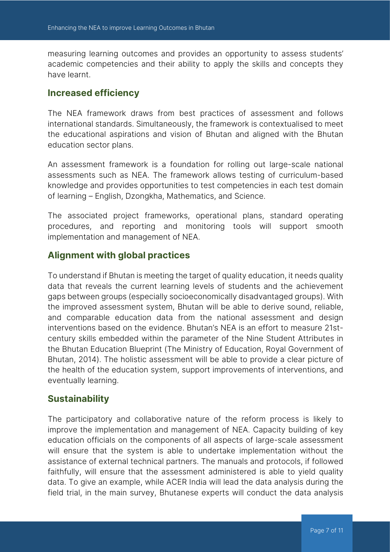measuring learning outcomes and provides an opportunity to assess students' academic competencies and their ability to apply the skills and concepts they have learnt.

#### **Increased efficiency**

The NEA framework draws from best practices of assessment and follows international standards. Simultaneously, the framework is contextualised to meet the educational aspirations and vision of Bhutan and aligned with the Bhutan education sector plans.

An assessment framework is a foundation for rolling out large-scale national assessments such as NEA. The framework allows testing of curriculum-based knowledge and provides opportunities to test competencies in each test domain of learning – English, Dzongkha, Mathematics, and Science.

The associated project frameworks, operational plans, standard operating procedures, and reporting and monitoring tools will support smooth implementation and management of NEA.

### **Alignment with global practices**

To understand if Bhutan is meeting the target of quality education, it needs quality data that reveals the current learning levels of students and the achievement gaps between groups (especially socioeconomically disadvantaged groups). With the improved assessment system, Bhutan will be able to derive sound, reliable, and comparable education data from the national assessment and design interventions based on the evidence. Bhutan's NEA is an effort to measure 21stcentury skills embedded within the parameter of the Nine Student Attributes in the Bhutan Education Blueprint (The Ministry of Education, Royal Government of Bhutan, 2014). The holistic assessment will be able to provide a clear picture of the health of the education system, support improvements of interventions, and eventually learning.

#### **Sustainability**

The participatory and collaborative nature of the reform process is likely to improve the implementation and management of NEA. Capacity building of key education officials on the components of all aspects of large-scale assessment will ensure that the system is able to undertake implementation without the assistance of external technical partners. The manuals and protocols, if followed faithfully, will ensure that the assessment administered is able to yield quality data. To give an example, while ACER India will lead the data analysis during the field trial, in the main survey, Bhutanese experts will conduct the data analysis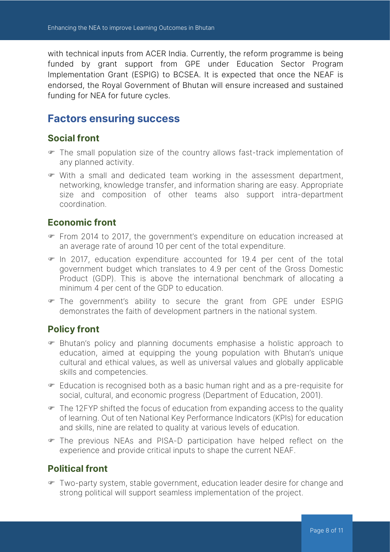with technical inputs from ACER India. Currently, the reform programme is being funded by grant support from GPE under Education Sector Program Implementation Grant (ESPIG) to BCSEA. It is expected that once the NEAF is endorsed, the Royal Government of Bhutan will ensure increased and sustained funding for NEA for future cycles.

## **Factors ensuring success**

#### **Social front**

- F The small population size of the country allows fast-track implementation of any planned activity.
- $\blacktriangleright$  With a small and dedicated team working in the assessment department, networking, knowledge transfer, and information sharing are easy. Appropriate size and composition of other teams also support intra-department coordination.

#### **Economic front**

- From 2014 to 2017, the government's expenditure on education increased at an average rate of around 10 per cent of the total expenditure.
- $\blacktriangleright$  In 2017, education expenditure accounted for 19.4 per cent of the total government budget which translates to 4.9 per cent of the Gross Domestic Product (GDP). This is above the international benchmark of allocating a minimum 4 per cent of the GDP to education.
- The government's ability to secure the grant from GPE under ESPIG demonstrates the faith of development partners in the national system.

### **Policy front**

- F Bhutan's policy and planning documents emphasise a holistic approach to education, aimed at equipping the young population with Bhutan's unique cultural and ethical values, as well as universal values and globally applicable skills and competencies.
- F Education is recognised both as a basic human right and as a pre-requisite for social, cultural, and economic progress (Department of Education, 2001).
- $\blacktriangleright$  The 12FYP shifted the focus of education from expanding access to the quality of learning. Out of ten National Key Performance Indicators (KPIs) for education and skills, nine are related to quality at various levels of education.
- F The previous NEAs and PISA-D participation have helped reflect on the experience and provide critical inputs to shape the current NEAF.

### **Political front**

F Two-party system, stable government, education leader desire for change and strong political will support seamless implementation of the project.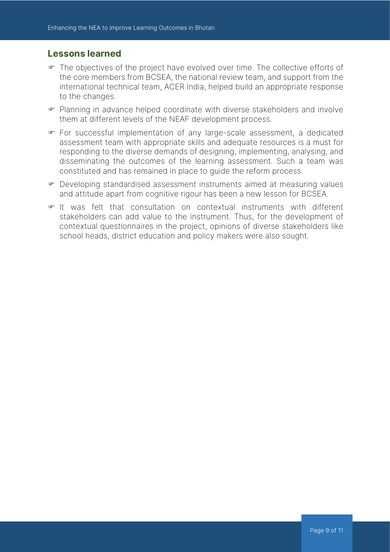#### **Lessons learned**

- F The objectives of the project have evolved over time. The collective efforts of the core members from BCSEA, the national review team, and support from the international technical team, ACER India, helped build an appropriate response to the changes.
- F Planning in advance helped coordinate with diverse stakeholders and involve them at different levels of the NEAF development process.
- For successful implementation of any large-scale assessment, a dedicated assessment team with appropriate skills and adequate resources is a must for responding to the diverse demands of designing, implementing, analysing, and disseminating the outcomes of the learning assessment. Such a team was constituted and has remained in place to guide the reform process.
- F Developing standardised assessment instruments aimed at measuring values and attitude apart from cognitive rigour has been a new lesson for BCSEA.
- $\blacktriangleright$  It was felt that consultation on contextual instruments with different stakeholders can add value to the instrument. Thus, for the development of contextual questionnaires in the project, opinions of diverse stakeholders like school heads, district education and policy makers were also sought.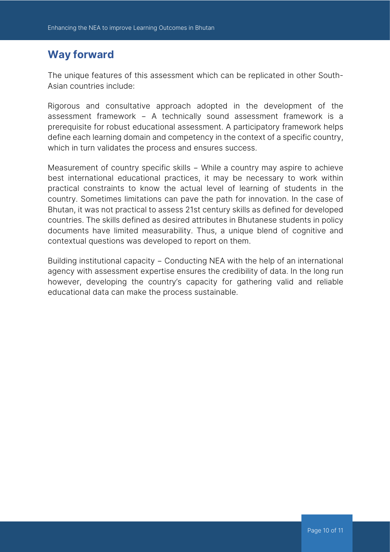## **Way forward**

The unique features of this assessment which can be replicated in other South-Asian countries include:

Rigorous and consultative approach adopted in the development of the assessment framework − A technically sound assessment framework is a prerequisite for robust educational assessment. A participatory framework helps define each learning domain and competency in the context of a specific country, which in turn validates the process and ensures success.

Measurement of country specific skills − While a country may aspire to achieve best international educational practices, it may be necessary to work within practical constraints to know the actual level of learning of students in the country. Sometimes limitations can pave the path for innovation. In the case of Bhutan, it was not practical to assess 21st century skills as defined for developed countries. The skills defined as desired attributes in Bhutanese students in policy documents have limited measurability. Thus, a unique blend of cognitive and contextual questions was developed to report on them.

Building institutional capacity − Conducting NEA with the help of an international agency with assessment expertise ensures the credibility of data. In the long run however, developing the country's capacity for gathering valid and reliable educational data can make the process sustainable.